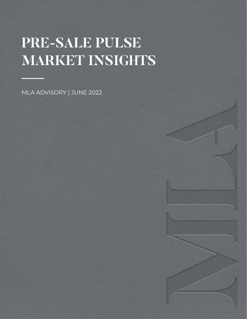# **PRE-SALE PULSE MARKET INSIGHTS**

MLA ADVISORY | JUNE 2022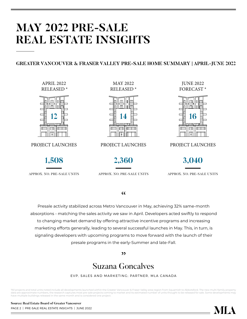## **MAY 2022 PRE-SALE REAL ESTATE INSIGHTS**

#### **GREATER VANCOUVER & FRASER VALLEY PRE-SALE HOME SUMMARY | APRIL-JUNE 2022**

APRIL 2022 RELEASED \*



PROJECT LAUNCHES

MAY 2022 RELEASED \*



PROJECT LAUNCHES PROJECT LAUNCHES

JUNE 2022 FORECAST \*





APPROX. NO. PRE-SALE UNITS APPROX. NO. PRE-SALE UNITS APPROX. NO. PRE-SALE UNITS

#### $cc$

Presale activity stabilized across Metro Vancouver in May, achieving 32% same-month absorptions - matching the sales activity we saw in April. Developers acted swiftly to respond to changing market demand by offering attractive incentive programs and increasing marketing efforts generally, leading to several successful launches in May. This, in turn, is signaling developers with upcoming programs to move forward with the launch of their presale programs in the early-Summer and late-Fall.

 $"$ 

## Suzana Goncalves

EVP, SALES AND MARKETING; PARTNER, MLA CANADA

\*All projects and total units noted include all developments launched within the Greater Vancouver & Fraser Valley area region from Squamish to Abbotsford. The new multi-family property data are approximate numbers, the research captures most pre-sale projects coming to market and its estimated number of units thought to be released for sale. Some developments may have multiple buildings released in the same month and is considered one project.

PAGE 2 | PRE-SALE REAL ESTATE INSIGHTS | JUNE 2022 **Source: Real Estate Board of Greater Vancouver**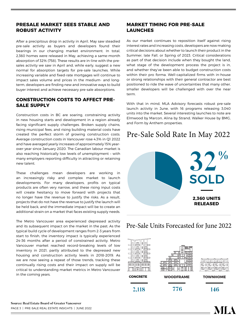#### **PRESALE MARKET SEES STABLE AND ROBUST ACTIVITY**

After a precipitous drop in activity in April, May saw steadied pre-sale activity as buyers and developers found their bearings in our changing market environment. In total, 2,360 homes were released in May, achieving a same-month absorption of 32% (758). These results are in-line with the presales activity we saw in April and, while early, suggest a new normal for absorption targets for pre-sale launches. While increasing variable and fixed-rate mortgages will continue to impact sales volume and prices in the medium- and longterm, developers are finding new and innovative ways to build buyer interest and achieve necessary pre-sale absorptions.

#### **CONSTRUCTION COSTS TO AFFECT PRE-SALE SUPPLY**

Construction costs in BC are soaring, constraining activity in new housing starts and development in a region already facing significant supply challenges. Broken supply chains, rising municipal fees, and rising building material costs have created the perfect storm of growing construction costs. Average construction costs in Vancouver rose 4.3% in Q1 2022 and have averaged yearly increases of approximately 15% yearover-year since January 2020. The Canadian labour market is also reaching historically low levels of unemployment – with many employers reporting difficulty in attracting or retaining new talent.

These challenges mean developers are working in an increasingly risky and complex market to launch developments. For many developers, profits on typical products are often very narrow, and these rising input costs will create hesitancy to move forward with projects that no longer have the revenue to justify the risks. As a result, projects that do not have the revenue to justify the launch will be held back, and the immediate impact will be to create an additional strain on a market that faces existing supply needs.

The Metro Vancouver area experienced depressed activity and its subsequent impact on the market in the past. As the typical build cycle of development ranges from 2-3 years from start to finish, the inventory impact is typically experienced 24-36 months after a period of constrained activity. Metro Vancouver market reached record-breaking levels of low inventory in 2021, partly attributed to the depressed new housing and construction activity levels in 2018-2019. As we are now seeing a repeat of those trends, tracking these continually rising costs and their impact on supply will be critical to understanding market metrics in Metro Vancouver in the coming years.

#### **MARKET TIMING FOR PRE-SALE LAUNCHES**

As our market continues to reposition itself against rising interest rates and increasing costs, developers are now making critical decisions about whether to launch their product in the Summer, late Fall, or Spring of 2023. Critical considerations as part of that decision include when they bought the land, what stage of the development process the project is in, and whether they've been able to budget construction costs within their pro forma. Well-capitalized firms with in-house or strong relationships with their general contractor are best positioned to ride the wave of uncertainties that many other, smaller developers will be challenged with over the near term.

With that in mind, MLA Advisory forecasts robust pre-sale launch activity in June, with 16 programs releasing 3,040 units into the market. Several interesting launches to note are Elmwood by Marcon, Alina by Strand, Walker House by BMG, and Form by Anthem properties.

### Pre-Sale Sold Rate In May 2022



### Pre-Sale Units Forecasted for June 2022